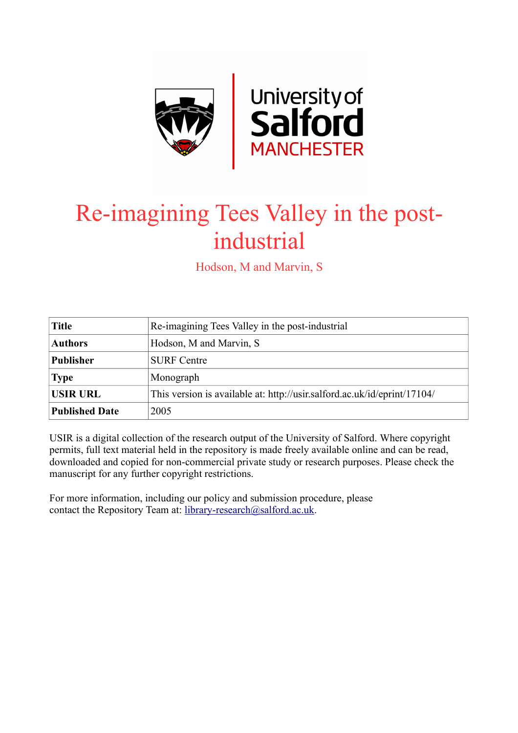

## Re-imagining Tees Valley in the postindustrial

Hodson, M and Marvin, S

| <b>Title</b>          | Re-imagining Tees Valley in the post-industrial                          |
|-----------------------|--------------------------------------------------------------------------|
| <b>Authors</b>        | Hodson, M and Marvin, S                                                  |
| <b>Publisher</b>      | <b>SURF</b> Centre                                                       |
| <b>Type</b>           | Monograph                                                                |
| <b>USIR URL</b>       | This version is available at: http://usir.salford.ac.uk/id/eprint/17104/ |
| <b>Published Date</b> | 2005                                                                     |

USIR is a digital collection of the research output of the University of Salford. Where copyright permits, full text material held in the repository is made freely available online and can be read, downloaded and copied for non-commercial private study or research purposes. Please check the manuscript for any further copyright restrictions.

For more information, including our policy and submission procedure, please contact the Repository Team at: [library-research@salford.ac.uk.](mailto:library-research@salford.ac.uk)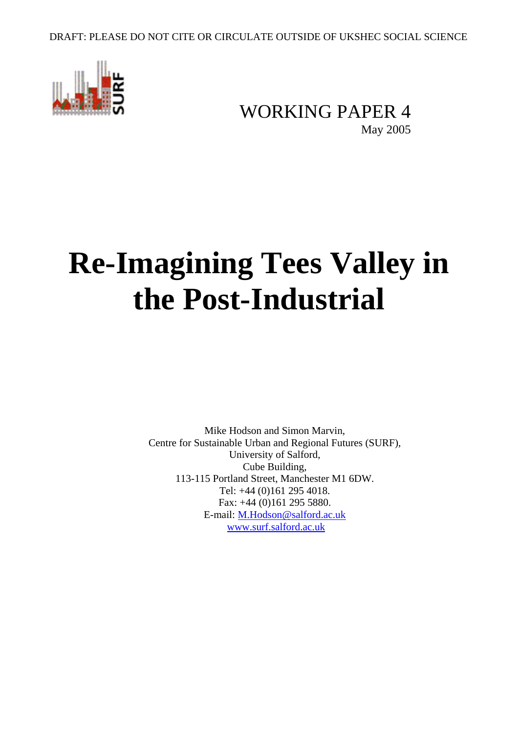

## WORKING PAPER 4 May 2005

# **Re-Imagining Tees Valley in the Post-Industrial**

Mike Hodson and Simon Marvin, Centre for Sustainable Urban and Regional Futures (SURF), University of Salford, Cube Building, 113-115 Portland Street, Manchester M1 6DW. Tel: +44 (0)161 295 4018. Fax: +44 (0)161 295 5880. E-mail: M.Hodson@salford.ac.uk www.surf.salford.ac.uk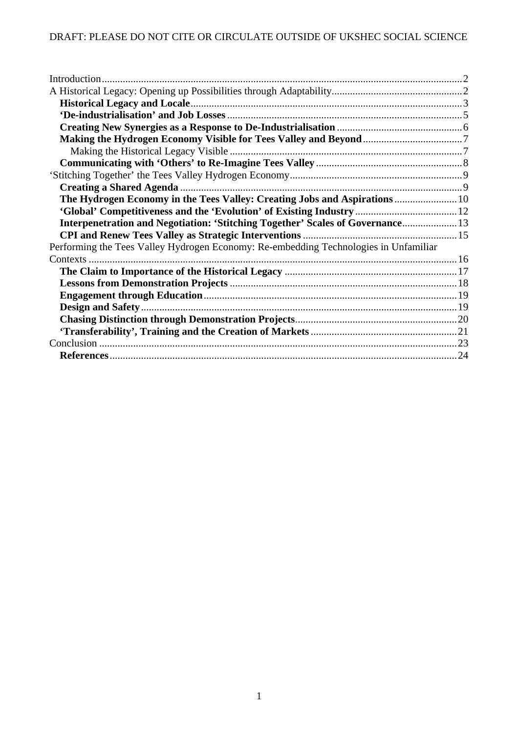| Interpenetration and Negotiation: 'Stitching Together' Scales of Governance 13       |  |
|--------------------------------------------------------------------------------------|--|
|                                                                                      |  |
| Performing the Tees Valley Hydrogen Economy: Re-embedding Technologies in Unfamiliar |  |
|                                                                                      |  |
|                                                                                      |  |
|                                                                                      |  |
|                                                                                      |  |
|                                                                                      |  |
|                                                                                      |  |
|                                                                                      |  |
|                                                                                      |  |
|                                                                                      |  |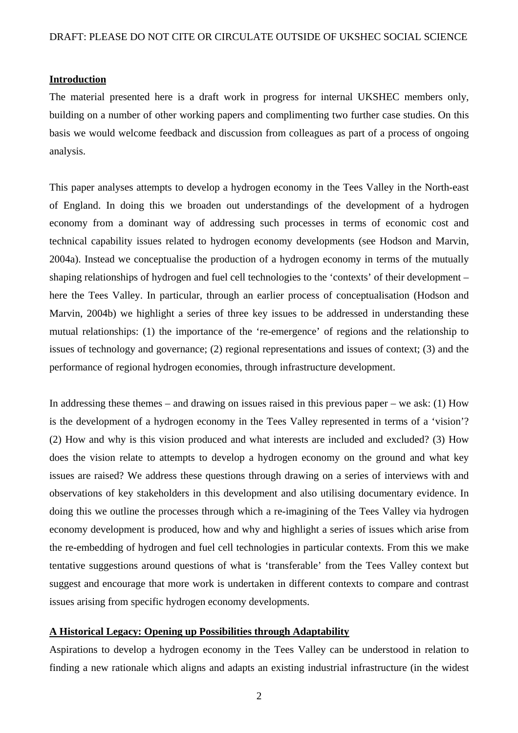#### **Introduction**

The material presented here is a draft work in progress for internal UKSHEC members only, building on a number of other working papers and complimenting two further case studies. On this basis we would welcome feedback and discussion from colleagues as part of a process of ongoing analysis.

This paper analyses attempts to develop a hydrogen economy in the Tees Valley in the North-east of England. In doing this we broaden out understandings of the development of a hydrogen economy from a dominant way of addressing such processes in terms of economic cost and technical capability issues related to hydrogen economy developments (see Hodson and Marvin, 2004a). Instead we conceptualise the production of a hydrogen economy in terms of the mutually shaping relationships of hydrogen and fuel cell technologies to the 'contexts' of their development – here the Tees Valley. In particular, through an earlier process of conceptualisation (Hodson and Marvin, 2004b) we highlight a series of three key issues to be addressed in understanding these mutual relationships: (1) the importance of the 're-emergence' of regions and the relationship to issues of technology and governance; (2) regional representations and issues of context; (3) and the performance of regional hydrogen economies, through infrastructure development.

In addressing these themes – and drawing on issues raised in this previous paper – we ask: (1) How is the development of a hydrogen economy in the Tees Valley represented in terms of a 'vision'? (2) How and why is this vision produced and what interests are included and excluded? (3) How does the vision relate to attempts to develop a hydrogen economy on the ground and what key issues are raised? We address these questions through drawing on a series of interviews with and observations of key stakeholders in this development and also utilising documentary evidence. In doing this we outline the processes through which a re-imagining of the Tees Valley via hydrogen economy development is produced, how and why and highlight a series of issues which arise from the re-embedding of hydrogen and fuel cell technologies in particular contexts. From this we make tentative suggestions around questions of what is 'transferable' from the Tees Valley context but suggest and encourage that more work is undertaken in different contexts to compare and contrast issues arising from specific hydrogen economy developments.

#### **A Historical Legacy: Opening up Possibilities through Adaptability**

Aspirations to develop a hydrogen economy in the Tees Valley can be understood in relation to finding a new rationale which aligns and adapts an existing industrial infrastructure (in the widest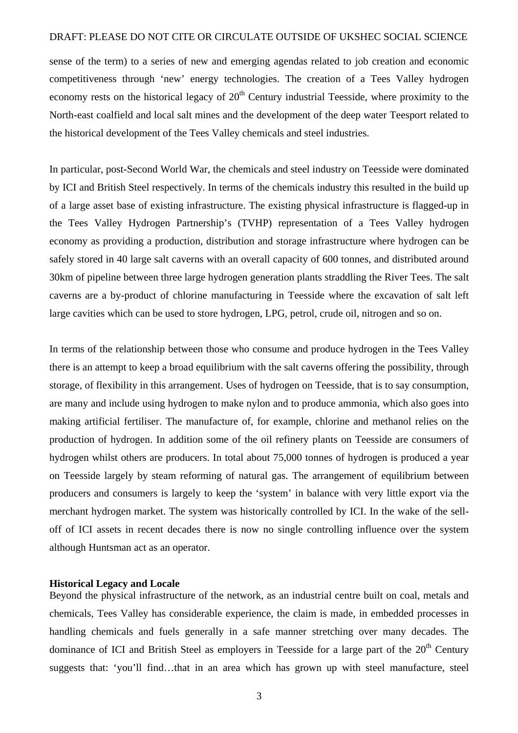sense of the term) to a series of new and emerging agendas related to job creation and economic competitiveness through 'new' energy technologies. The creation of a Tees Valley hydrogen economy rests on the historical legacy of  $20<sup>th</sup>$  Century industrial Teesside, where proximity to the North-east coalfield and local salt mines and the development of the deep water Teesport related to the historical development of the Tees Valley chemicals and steel industries.

In particular, post-Second World War, the chemicals and steel industry on Teesside were dominated by ICI and British Steel respectively. In terms of the chemicals industry this resulted in the build up of a large asset base of existing infrastructure. The existing physical infrastructure is flagged-up in the Tees Valley Hydrogen Partnership's (TVHP) representation of a Tees Valley hydrogen economy as providing a production, distribution and storage infrastructure where hydrogen can be safely stored in 40 large salt caverns with an overall capacity of 600 tonnes, and distributed around 30km of pipeline between three large hydrogen generation plants straddling the River Tees. The salt caverns are a by-product of chlorine manufacturing in Teesside where the excavation of salt left large cavities which can be used to store hydrogen, LPG, petrol, crude oil, nitrogen and so on.

In terms of the relationship between those who consume and produce hydrogen in the Tees Valley there is an attempt to keep a broad equilibrium with the salt caverns offering the possibility, through storage, of flexibility in this arrangement. Uses of hydrogen on Teesside, that is to say consumption, are many and include using hydrogen to make nylon and to produce ammonia, which also goes into making artificial fertiliser. The manufacture of, for example, chlorine and methanol relies on the production of hydrogen. In addition some of the oil refinery plants on Teesside are consumers of hydrogen whilst others are producers. In total about 75,000 tonnes of hydrogen is produced a year on Teesside largely by steam reforming of natural gas. The arrangement of equilibrium between producers and consumers is largely to keep the 'system' in balance with very little export via the merchant hydrogen market. The system was historically controlled by ICI. In the wake of the selloff of ICI assets in recent decades there is now no single controlling influence over the system although Huntsman act as an operator.

#### **Historical Legacy and Locale**

Beyond the physical infrastructure of the network, as an industrial centre built on coal, metals and chemicals, Tees Valley has considerable experience, the claim is made, in embedded processes in handling chemicals and fuels generally in a safe manner stretching over many decades. The dominance of ICI and British Steel as employers in Teesside for a large part of the  $20<sup>th</sup>$  Century suggests that: 'you'll find…that in an area which has grown up with steel manufacture, steel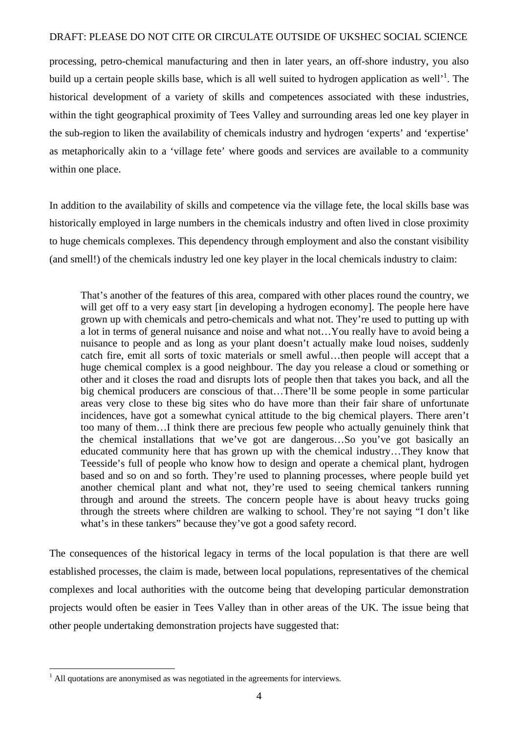processing, petro-chemical manufacturing and then in later years, an off-shore industry, you also build up a certain people skills base, which is all well suited to hydrogen application as well'<sup>1</sup>. The historical development of a variety of skills and competences associated with these industries, within the tight geographical proximity of Tees Valley and surrounding areas led one key player in the sub-region to liken the availability of chemicals industry and hydrogen 'experts' and 'expertise' as metaphorically akin to a 'village fete' where goods and services are available to a community within one place.

In addition to the availability of skills and competence via the village fete, the local skills base was historically employed in large numbers in the chemicals industry and often lived in close proximity to huge chemicals complexes. This dependency through employment and also the constant visibility (and smell!) of the chemicals industry led one key player in the local chemicals industry to claim:

That's another of the features of this area, compared with other places round the country, we will get off to a very easy start [in developing a hydrogen economy]. The people here have grown up with chemicals and petro-chemicals and what not. They're used to putting up with a lot in terms of general nuisance and noise and what not…You really have to avoid being a nuisance to people and as long as your plant doesn't actually make loud noises, suddenly catch fire, emit all sorts of toxic materials or smell awful…then people will accept that a huge chemical complex is a good neighbour. The day you release a cloud or something or other and it closes the road and disrupts lots of people then that takes you back, and all the big chemical producers are conscious of that…There'll be some people in some particular areas very close to these big sites who do have more than their fair share of unfortunate incidences, have got a somewhat cynical attitude to the big chemical players. There aren't too many of them…I think there are precious few people who actually genuinely think that the chemical installations that we've got are dangerous…So you've got basically an educated community here that has grown up with the chemical industry…They know that Teesside's full of people who know how to design and operate a chemical plant, hydrogen based and so on and so forth. They're used to planning processes, where people build yet another chemical plant and what not, they're used to seeing chemical tankers running through and around the streets. The concern people have is about heavy trucks going through the streets where children are walking to school. They're not saying "I don't like what's in these tankers" because they've got a good safety record.

The consequences of the historical legacy in terms of the local population is that there are well established processes, the claim is made, between local populations, representatives of the chemical complexes and local authorities with the outcome being that developing particular demonstration projects would often be easier in Tees Valley than in other areas of the UK. The issue being that other people undertaking demonstration projects have suggested that:

 1 All quotations are anonymised as was negotiated in the agreements for interviews.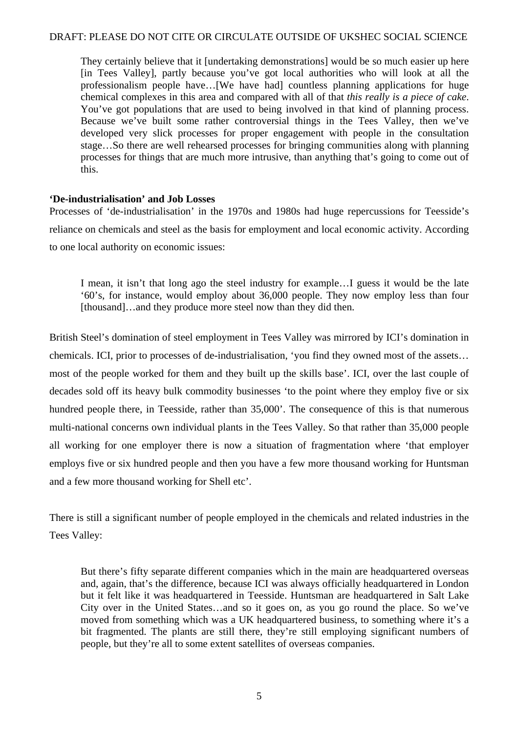They certainly believe that it [undertaking demonstrations] would be so much easier up here [in Tees Valley], partly because you've got local authorities who will look at all the professionalism people have…[We have had] countless planning applications for huge chemical complexes in this area and compared with all of that *this really is a piece of cake*. You've got populations that are used to being involved in that kind of planning process. Because we've built some rather controversial things in the Tees Valley, then we've developed very slick processes for proper engagement with people in the consultation stage…So there are well rehearsed processes for bringing communities along with planning processes for things that are much more intrusive, than anything that's going to come out of this.

#### **'De-industrialisation' and Job Losses**

Processes of 'de-industrialisation' in the 1970s and 1980s had huge repercussions for Teesside's reliance on chemicals and steel as the basis for employment and local economic activity. According to one local authority on economic issues:

I mean, it isn't that long ago the steel industry for example…I guess it would be the late '60's, for instance, would employ about 36,000 people. They now employ less than four [thousand]…and they produce more steel now than they did then.

British Steel's domination of steel employment in Tees Valley was mirrored by ICI's domination in chemicals. ICI, prior to processes of de-industrialisation, 'you find they owned most of the assets… most of the people worked for them and they built up the skills base'. ICI, over the last couple of decades sold off its heavy bulk commodity businesses 'to the point where they employ five or six hundred people there, in Teesside, rather than 35,000'. The consequence of this is that numerous multi-national concerns own individual plants in the Tees Valley. So that rather than 35,000 people all working for one employer there is now a situation of fragmentation where 'that employer employs five or six hundred people and then you have a few more thousand working for Huntsman and a few more thousand working for Shell etc'.

There is still a significant number of people employed in the chemicals and related industries in the Tees Valley:

But there's fifty separate different companies which in the main are headquartered overseas and, again, that's the difference, because ICI was always officially headquartered in London but it felt like it was headquartered in Teesside. Huntsman are headquartered in Salt Lake City over in the United States…and so it goes on, as you go round the place. So we've moved from something which was a UK headquartered business, to something where it's a bit fragmented. The plants are still there, they're still employing significant numbers of people, but they're all to some extent satellites of overseas companies.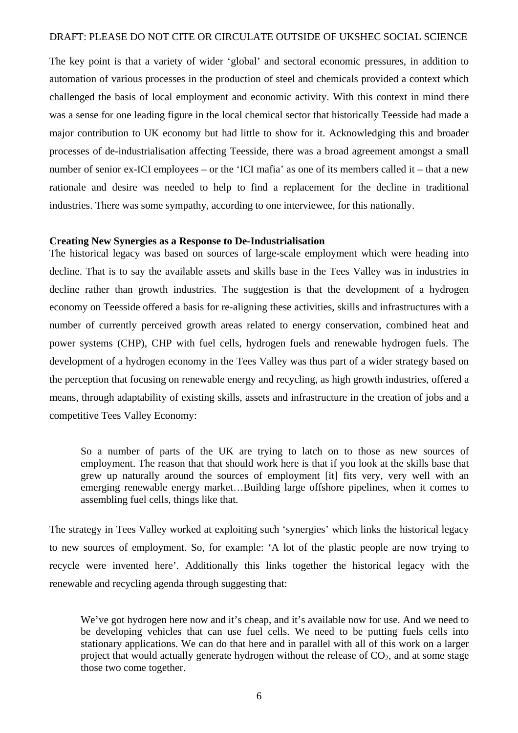The key point is that a variety of wider 'global' and sectoral economic pressures, in addition to automation of various processes in the production of steel and chemicals provided a context which challenged the basis of local employment and economic activity. With this context in mind there was a sense for one leading figure in the local chemical sector that historically Teesside had made a major contribution to UK economy but had little to show for it. Acknowledging this and broader processes of de-industrialisation affecting Teesside, there was a broad agreement amongst a small number of senior ex-ICI employees – or the 'ICI mafia' as one of its members called it – that a new rationale and desire was needed to help to find a replacement for the decline in traditional industries. There was some sympathy, according to one interviewee, for this nationally.

#### **Creating New Synergies as a Response to De-Industrialisation**

The historical legacy was based on sources of large-scale employment which were heading into decline. That is to say the available assets and skills base in the Tees Valley was in industries in decline rather than growth industries. The suggestion is that the development of a hydrogen economy on Teesside offered a basis for re-aligning these activities, skills and infrastructures with a number of currently perceived growth areas related to energy conservation, combined heat and power systems (CHP), CHP with fuel cells, hydrogen fuels and renewable hydrogen fuels. The development of a hydrogen economy in the Tees Valley was thus part of a wider strategy based on the perception that focusing on renewable energy and recycling, as high growth industries, offered a means, through adaptability of existing skills, assets and infrastructure in the creation of jobs and a competitive Tees Valley Economy:

So a number of parts of the UK are trying to latch on to those as new sources of employment. The reason that that should work here is that if you look at the skills base that grew up naturally around the sources of employment [it] fits very, very well with an emerging renewable energy market…Building large offshore pipelines, when it comes to assembling fuel cells, things like that.

The strategy in Tees Valley worked at exploiting such 'synergies' which links the historical legacy to new sources of employment. So, for example: 'A lot of the plastic people are now trying to recycle were invented here'. Additionally this links together the historical legacy with the renewable and recycling agenda through suggesting that:

We've got hydrogen here now and it's cheap, and it's available now for use. And we need to be developing vehicles that can use fuel cells. We need to be putting fuels cells into stationary applications. We can do that here and in parallel with all of this work on a larger project that would actually generate hydrogen without the release of  $CO<sub>2</sub>$ , and at some stage those two come together.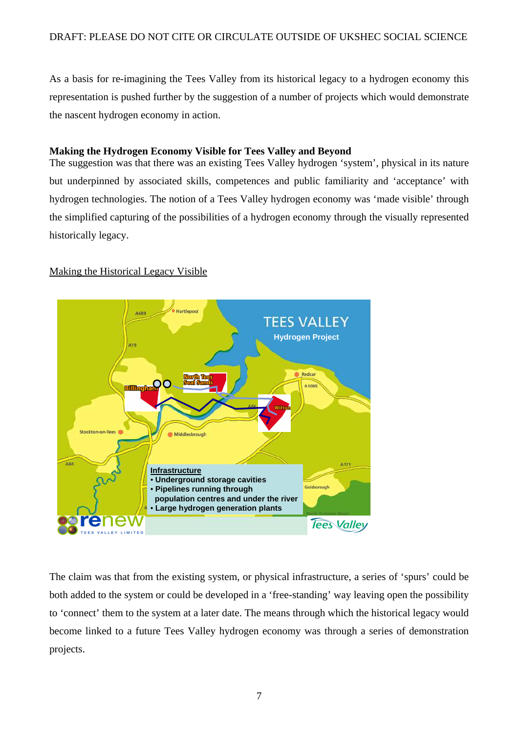As a basis for re-imagining the Tees Valley from its historical legacy to a hydrogen economy this representation is pushed further by the suggestion of a number of projects which would demonstrate the nascent hydrogen economy in action.

#### **Making the Hydrogen Economy Visible for Tees Valley and Beyond**

The suggestion was that there was an existing Tees Valley hydrogen 'system', physical in its nature but underpinned by associated skills, competences and public familiarity and 'acceptance' with hydrogen technologies. The notion of a Tees Valley hydrogen economy was 'made visible' through the simplified capturing of the possibilities of a hydrogen economy through the visually represented historically legacy.

#### Making the Historical Legacy Visible



The claim was that from the existing system, or physical infrastructure, a series of 'spurs' could be both added to the system or could be developed in a 'free-standing' way leaving open the possibility to 'connect' them to the system at a later date. The means through which the historical legacy would become linked to a future Tees Valley hydrogen economy was through a series of demonstration projects.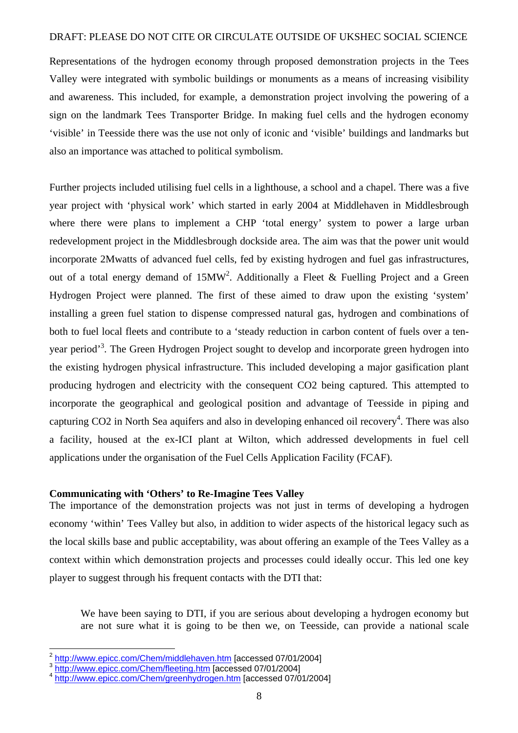Representations of the hydrogen economy through proposed demonstration projects in the Tees Valley were integrated with symbolic buildings or monuments as a means of increasing visibility and awareness. This included, for example, a demonstration project involving the powering of a sign on the landmark Tees Transporter Bridge. In making fuel cells and the hydrogen economy 'visible' in Teesside there was the use not only of iconic and 'visible' buildings and landmarks but also an importance was attached to political symbolism.

Further projects included utilising fuel cells in a lighthouse, a school and a chapel. There was a five year project with 'physical work' which started in early 2004 at Middlehaven in Middlesbrough where there were plans to implement a CHP 'total energy' system to power a large urban redevelopment project in the Middlesbrough dockside area. The aim was that the power unit would incorporate 2Mwatts of advanced fuel cells, fed by existing hydrogen and fuel gas infrastructures, out of a total energy demand of  $15MW^2$ . Additionally a Fleet & Fuelling Project and a Green Hydrogen Project were planned. The first of these aimed to draw upon the existing 'system' installing a green fuel station to dispense compressed natural gas, hydrogen and combinations of both to fuel local fleets and contribute to a 'steady reduction in carbon content of fuels over a tenyear period<sup>3</sup>. The Green Hydrogen Project sought to develop and incorporate green hydrogen into the existing hydrogen physical infrastructure. This included developing a major gasification plant producing hydrogen and electricity with the consequent CO2 being captured. This attempted to incorporate the geographical and geological position and advantage of Teesside in piping and capturing  $CO2$  in North Sea aquifers and also in developing enhanced oil recovery<sup>4</sup>. There was also a facility, housed at the ex-ICI plant at Wilton, which addressed developments in fuel cell applications under the organisation of the Fuel Cells Application Facility (FCAF).

#### **Communicating with 'Others' to Re-Imagine Tees Valley**

The importance of the demonstration projects was not just in terms of developing a hydrogen economy 'within' Tees Valley but also, in addition to wider aspects of the historical legacy such as the local skills base and public acceptability, was about offering an example of the Tees Valley as a context within which demonstration projects and processes could ideally occur. This led one key player to suggest through his frequent contacts with the DTI that:

We have been saying to DTI, if you are serious about developing a hydrogen economy but are not sure what it is going to be then we, on Teesside, can provide a national scale

 2 http://www.epicc.com/Chem/middlehaven.htm [accessed 07/01/2004]

<sup>&</sup>lt;sup>3</sup> http://www.epicc.com/Chem/fleeting.htm [accessed 07/01/2004]

<sup>&</sup>lt;sup>4</sup> http://www.epicc.com/Chem/greenhydrogen.htm [accessed 07/01/2004]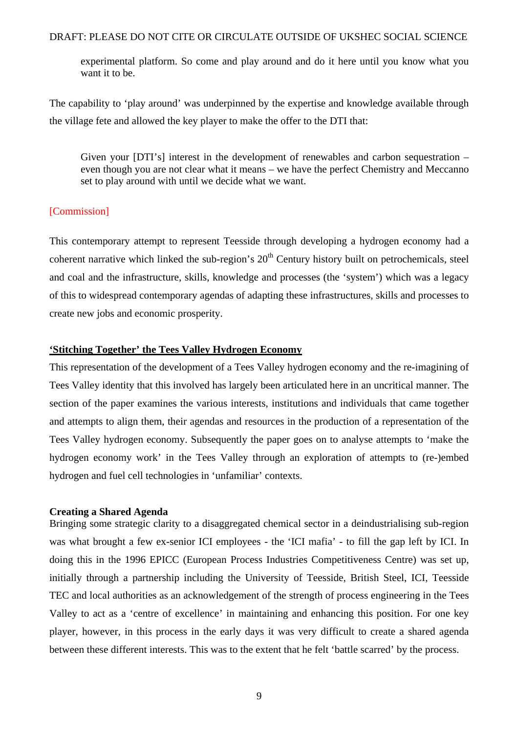experimental platform. So come and play around and do it here until you know what you want it to be.

The capability to 'play around' was underpinned by the expertise and knowledge available through the village fete and allowed the key player to make the offer to the DTI that:

Given your [DTI's] interest in the development of renewables and carbon sequestration – even though you are not clear what it means – we have the perfect Chemistry and Meccanno set to play around with until we decide what we want.

#### [Commission]

This contemporary attempt to represent Teesside through developing a hydrogen economy had a coherent narrative which linked the sub-region's  $20<sup>th</sup>$  Century history built on petrochemicals, steel and coal and the infrastructure, skills, knowledge and processes (the 'system') which was a legacy of this to widespread contemporary agendas of adapting these infrastructures, skills and processes to create new jobs and economic prosperity.

#### **'Stitching Together' the Tees Valley Hydrogen Economy**

This representation of the development of a Tees Valley hydrogen economy and the re-imagining of Tees Valley identity that this involved has largely been articulated here in an uncritical manner. The section of the paper examines the various interests, institutions and individuals that came together and attempts to align them, their agendas and resources in the production of a representation of the Tees Valley hydrogen economy. Subsequently the paper goes on to analyse attempts to 'make the hydrogen economy work' in the Tees Valley through an exploration of attempts to (re-)embed hydrogen and fuel cell technologies in 'unfamiliar' contexts.

#### **Creating a Shared Agenda**

Bringing some strategic clarity to a disaggregated chemical sector in a deindustrialising sub-region was what brought a few ex-senior ICI employees - the 'ICI mafia' - to fill the gap left by ICI. In doing this in the 1996 EPICC (European Process Industries Competitiveness Centre) was set up, initially through a partnership including the University of Teesside, British Steel, ICI, Teesside TEC and local authorities as an acknowledgement of the strength of process engineering in the Tees Valley to act as a 'centre of excellence' in maintaining and enhancing this position. For one key player, however, in this process in the early days it was very difficult to create a shared agenda between these different interests. This was to the extent that he felt 'battle scarred' by the process.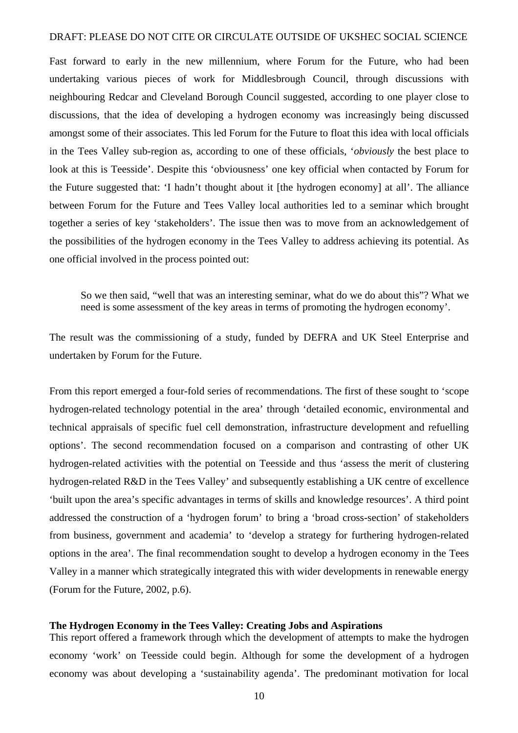Fast forward to early in the new millennium, where Forum for the Future, who had been undertaking various pieces of work for Middlesbrough Council, through discussions with neighbouring Redcar and Cleveland Borough Council suggested, according to one player close to discussions, that the idea of developing a hydrogen economy was increasingly being discussed amongst some of their associates. This led Forum for the Future to float this idea with local officials in the Tees Valley sub-region as, according to one of these officials, '*obviously* the best place to look at this is Teesside'. Despite this 'obviousness' one key official when contacted by Forum for the Future suggested that: 'I hadn't thought about it [the hydrogen economy] at all'. The alliance between Forum for the Future and Tees Valley local authorities led to a seminar which brought together a series of key 'stakeholders'. The issue then was to move from an acknowledgement of the possibilities of the hydrogen economy in the Tees Valley to address achieving its potential. As one official involved in the process pointed out:

So we then said, "well that was an interesting seminar, what do we do about this"? What we need is some assessment of the key areas in terms of promoting the hydrogen economy'.

The result was the commissioning of a study, funded by DEFRA and UK Steel Enterprise and undertaken by Forum for the Future.

From this report emerged a four-fold series of recommendations. The first of these sought to 'scope hydrogen-related technology potential in the area' through 'detailed economic, environmental and technical appraisals of specific fuel cell demonstration, infrastructure development and refuelling options'. The second recommendation focused on a comparison and contrasting of other UK hydrogen-related activities with the potential on Teesside and thus 'assess the merit of clustering hydrogen-related R&D in the Tees Valley' and subsequently establishing a UK centre of excellence 'built upon the area's specific advantages in terms of skills and knowledge resources'. A third point addressed the construction of a 'hydrogen forum' to bring a 'broad cross-section' of stakeholders from business, government and academia' to 'develop a strategy for furthering hydrogen-related options in the area'. The final recommendation sought to develop a hydrogen economy in the Tees Valley in a manner which strategically integrated this with wider developments in renewable energy (Forum for the Future, 2002, p.6).

#### **The Hydrogen Economy in the Tees Valley: Creating Jobs and Aspirations**

This report offered a framework through which the development of attempts to make the hydrogen economy 'work' on Teesside could begin. Although for some the development of a hydrogen economy was about developing a 'sustainability agenda'. The predominant motivation for local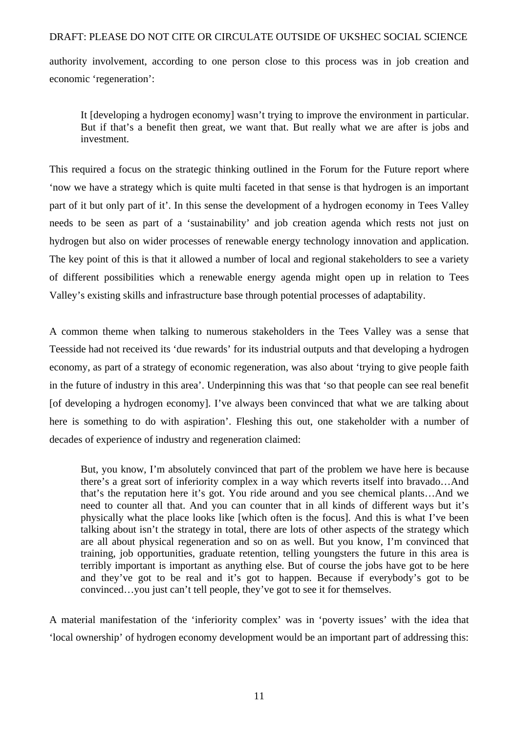authority involvement, according to one person close to this process was in job creation and economic 'regeneration':

It [developing a hydrogen economy] wasn't trying to improve the environment in particular. But if that's a benefit then great, we want that. But really what we are after is jobs and investment.

This required a focus on the strategic thinking outlined in the Forum for the Future report where 'now we have a strategy which is quite multi faceted in that sense is that hydrogen is an important part of it but only part of it'. In this sense the development of a hydrogen economy in Tees Valley needs to be seen as part of a 'sustainability' and job creation agenda which rests not just on hydrogen but also on wider processes of renewable energy technology innovation and application. The key point of this is that it allowed a number of local and regional stakeholders to see a variety of different possibilities which a renewable energy agenda might open up in relation to Tees Valley's existing skills and infrastructure base through potential processes of adaptability.

A common theme when talking to numerous stakeholders in the Tees Valley was a sense that Teesside had not received its 'due rewards' for its industrial outputs and that developing a hydrogen economy, as part of a strategy of economic regeneration, was also about 'trying to give people faith in the future of industry in this area'. Underpinning this was that 'so that people can see real benefit [of developing a hydrogen economy]. I've always been convinced that what we are talking about here is something to do with aspiration'. Fleshing this out, one stakeholder with a number of decades of experience of industry and regeneration claimed:

But, you know, I'm absolutely convinced that part of the problem we have here is because there's a great sort of inferiority complex in a way which reverts itself into bravado…And that's the reputation here it's got. You ride around and you see chemical plants…And we need to counter all that. And you can counter that in all kinds of different ways but it's physically what the place looks like [which often is the focus]. And this is what I've been talking about isn't the strategy in total, there are lots of other aspects of the strategy which are all about physical regeneration and so on as well. But you know, I'm convinced that training, job opportunities, graduate retention, telling youngsters the future in this area is terribly important is important as anything else. But of course the jobs have got to be here and they've got to be real and it's got to happen. Because if everybody's got to be convinced…you just can't tell people, they've got to see it for themselves.

A material manifestation of the 'inferiority complex' was in 'poverty issues' with the idea that 'local ownership' of hydrogen economy development would be an important part of addressing this: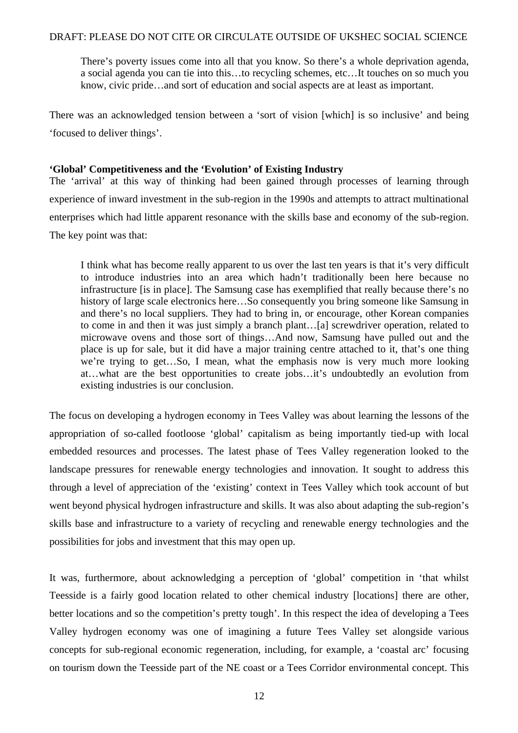There's poverty issues come into all that you know. So there's a whole deprivation agenda, a social agenda you can tie into this…to recycling schemes, etc…It touches on so much you know, civic pride…and sort of education and social aspects are at least as important.

There was an acknowledged tension between a 'sort of vision [which] is so inclusive' and being 'focused to deliver things'.

#### **'Global' Competitiveness and the 'Evolution' of Existing Industry**

The 'arrival' at this way of thinking had been gained through processes of learning through experience of inward investment in the sub-region in the 1990s and attempts to attract multinational enterprises which had little apparent resonance with the skills base and economy of the sub-region. The key point was that:

I think what has become really apparent to us over the last ten years is that it's very difficult to introduce industries into an area which hadn't traditionally been here because no infrastructure [is in place]. The Samsung case has exemplified that really because there's no history of large scale electronics here…So consequently you bring someone like Samsung in and there's no local suppliers. They had to bring in, or encourage, other Korean companies to come in and then it was just simply a branch plant…[a] screwdriver operation, related to microwave ovens and those sort of things…And now, Samsung have pulled out and the place is up for sale, but it did have a major training centre attached to it, that's one thing we're trying to get…So, I mean, what the emphasis now is very much more looking at…what are the best opportunities to create jobs…it's undoubtedly an evolution from existing industries is our conclusion.

The focus on developing a hydrogen economy in Tees Valley was about learning the lessons of the appropriation of so-called footloose 'global' capitalism as being importantly tied-up with local embedded resources and processes. The latest phase of Tees Valley regeneration looked to the landscape pressures for renewable energy technologies and innovation. It sought to address this through a level of appreciation of the 'existing' context in Tees Valley which took account of but went beyond physical hydrogen infrastructure and skills. It was also about adapting the sub-region's skills base and infrastructure to a variety of recycling and renewable energy technologies and the possibilities for jobs and investment that this may open up.

It was, furthermore, about acknowledging a perception of 'global' competition in 'that whilst Teesside is a fairly good location related to other chemical industry [locations] there are other, better locations and so the competition's pretty tough'. In this respect the idea of developing a Tees Valley hydrogen economy was one of imagining a future Tees Valley set alongside various concepts for sub-regional economic regeneration, including, for example, a 'coastal arc' focusing on tourism down the Teesside part of the NE coast or a Tees Corridor environmental concept. This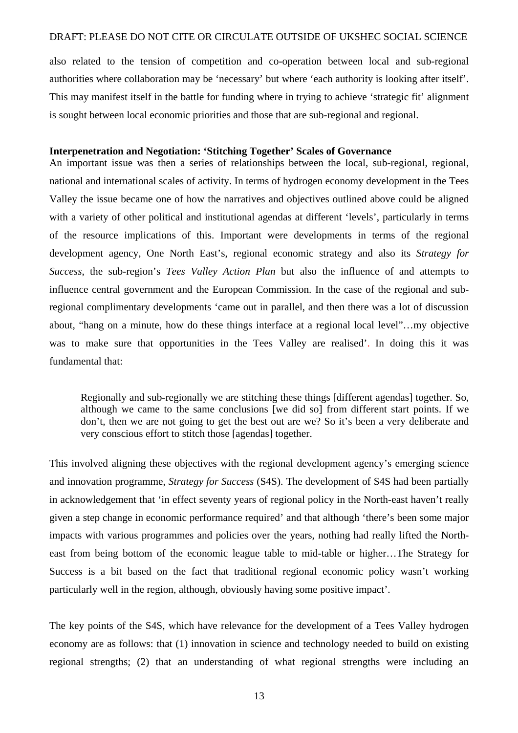also related to the tension of competition and co-operation between local and sub-regional authorities where collaboration may be 'necessary' but where 'each authority is looking after itself'. This may manifest itself in the battle for funding where in trying to achieve 'strategic fit' alignment is sought between local economic priorities and those that are sub-regional and regional.

#### **Interpenetration and Negotiation: 'Stitching Together' Scales of Governance**

An important issue was then a series of relationships between the local, sub-regional, regional, national and international scales of activity. In terms of hydrogen economy development in the Tees Valley the issue became one of how the narratives and objectives outlined above could be aligned with a variety of other political and institutional agendas at different 'levels', particularly in terms of the resource implications of this. Important were developments in terms of the regional development agency, One North East's, regional economic strategy and also its *Strategy for Success*, the sub-region's *Tees Valley Action Plan* but also the influence of and attempts to influence central government and the European Commission. In the case of the regional and subregional complimentary developments 'came out in parallel, and then there was a lot of discussion about, "hang on a minute, how do these things interface at a regional local level"…my objective was to make sure that opportunities in the Tees Valley are realised'. In doing this it was fundamental that:

Regionally and sub-regionally we are stitching these things [different agendas] together. So, although we came to the same conclusions [we did so] from different start points. If we don't, then we are not going to get the best out are we? So it's been a very deliberate and very conscious effort to stitch those [agendas] together.

This involved aligning these objectives with the regional development agency's emerging science and innovation programme, *Strategy for Success* (S4S). The development of S4S had been partially in acknowledgement that 'in effect seventy years of regional policy in the North-east haven't really given a step change in economic performance required' and that although 'there's been some major impacts with various programmes and policies over the years, nothing had really lifted the Northeast from being bottom of the economic league table to mid-table or higher…The Strategy for Success is a bit based on the fact that traditional regional economic policy wasn't working particularly well in the region, although, obviously having some positive impact'.

The key points of the S4S, which have relevance for the development of a Tees Valley hydrogen economy are as follows: that (1) innovation in science and technology needed to build on existing regional strengths; (2) that an understanding of what regional strengths were including an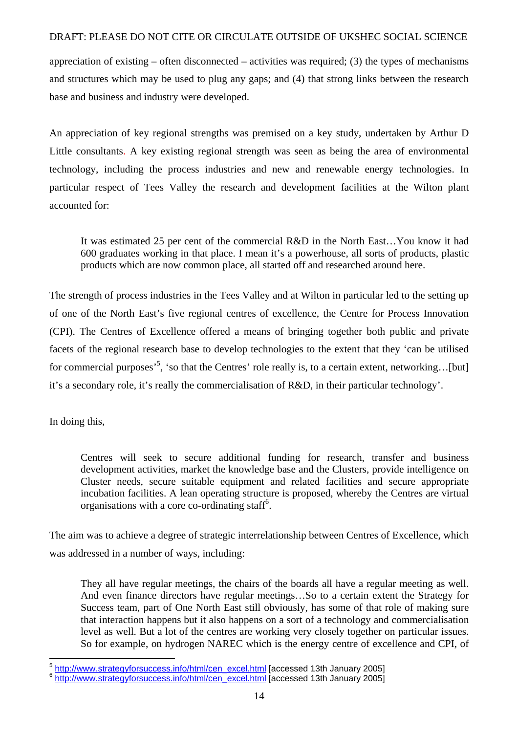appreciation of existing – often disconnected – activities was required; (3) the types of mechanisms and structures which may be used to plug any gaps; and (4) that strong links between the research base and business and industry were developed.

An appreciation of key regional strengths was premised on a key study, undertaken by Arthur D Little consultants. A key existing regional strength was seen as being the area of environmental technology, including the process industries and new and renewable energy technologies. In particular respect of Tees Valley the research and development facilities at the Wilton plant accounted for:

It was estimated 25 per cent of the commercial R&D in the North East…You know it had 600 graduates working in that place. I mean it's a powerhouse, all sorts of products, plastic products which are now common place, all started off and researched around here.

The strength of process industries in the Tees Valley and at Wilton in particular led to the setting up of one of the North East's five regional centres of excellence, the Centre for Process Innovation (CPI). The Centres of Excellence offered a means of bringing together both public and private facets of the regional research base to develop technologies to the extent that they 'can be utilised for commercial purposes<sup>5</sup>, 'so that the Centres' role really is, to a certain extent, networking...[but] it's a secondary role, it's really the commercialisation of R&D, in their particular technology'.

In doing this,

Centres will seek to secure additional funding for research, transfer and business development activities, market the knowledge base and the Clusters, provide intelligence on Cluster needs, secure suitable equipment and related facilities and secure appropriate incubation facilities. A lean operating structure is proposed, whereby the Centres are virtual organisations with a core co-ordinating staff<sup>6</sup>.

The aim was to achieve a degree of strategic interrelationship between Centres of Excellence, which was addressed in a number of ways, including:

They all have regular meetings, the chairs of the boards all have a regular meeting as well. And even finance directors have regular meetings…So to a certain extent the Strategy for Success team, part of One North East still obviously, has some of that role of making sure that interaction happens but it also happens on a sort of a technology and commercialisation level as well. But a lot of the centres are working very closely together on particular issues. So for example, on hydrogen NAREC which is the energy centre of excellence and CPI, of

 5 http://www.strategyforsuccess.info/html/cen\_excel.html [accessed 13th January 2005]

<sup>&</sup>lt;sup>6</sup> http://www.strategyforsuccess.info/html/cen\_excel.html [accessed 13th January 2005]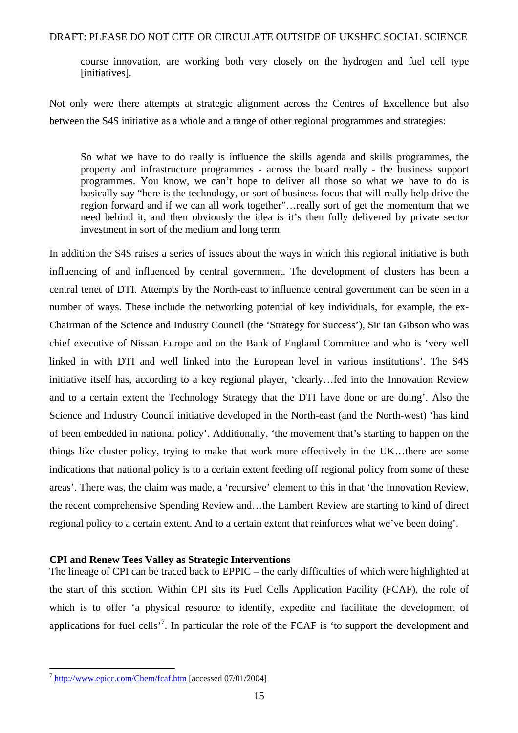course innovation, are working both very closely on the hydrogen and fuel cell type [initiatives].

Not only were there attempts at strategic alignment across the Centres of Excellence but also between the S4S initiative as a whole and a range of other regional programmes and strategies:

So what we have to do really is influence the skills agenda and skills programmes, the property and infrastructure programmes - across the board really - the business support programmes. You know, we can't hope to deliver all those so what we have to do is basically say "here is the technology, or sort of business focus that will really help drive the region forward and if we can all work together"…really sort of get the momentum that we need behind it, and then obviously the idea is it's then fully delivered by private sector investment in sort of the medium and long term.

In addition the S4S raises a series of issues about the ways in which this regional initiative is both influencing of and influenced by central government. The development of clusters has been a central tenet of DTI. Attempts by the North-east to influence central government can be seen in a number of ways. These include the networking potential of key individuals, for example, the ex-Chairman of the Science and Industry Council (the 'Strategy for Success'), Sir Ian Gibson who was chief executive of Nissan Europe and on the Bank of England Committee and who is 'very well linked in with DTI and well linked into the European level in various institutions'. The S4S initiative itself has, according to a key regional player, 'clearly…fed into the Innovation Review and to a certain extent the Technology Strategy that the DTI have done or are doing'. Also the Science and Industry Council initiative developed in the North-east (and the North-west) 'has kind of been embedded in national policy'. Additionally, 'the movement that's starting to happen on the things like cluster policy, trying to make that work more effectively in the UK…there are some indications that national policy is to a certain extent feeding off regional policy from some of these areas'. There was, the claim was made, a 'recursive' element to this in that 'the Innovation Review, the recent comprehensive Spending Review and…the Lambert Review are starting to kind of direct regional policy to a certain extent. And to a certain extent that reinforces what we've been doing'.

#### **CPI and Renew Tees Valley as Strategic Interventions**

The lineage of CPI can be traced back to EPPIC – the early difficulties of which were highlighted at the start of this section. Within CPI sits its Fuel Cells Application Facility (FCAF), the role of which is to offer 'a physical resource to identify, expedite and facilitate the development of applications for fuel cells<sup> $,7$ </sup>. In particular the role of the FCAF is 'to support the development and

<sup>&</sup>lt;sup>7</sup> http://www.epicc.com/Chem/fcaf.htm [accessed 07/01/2004]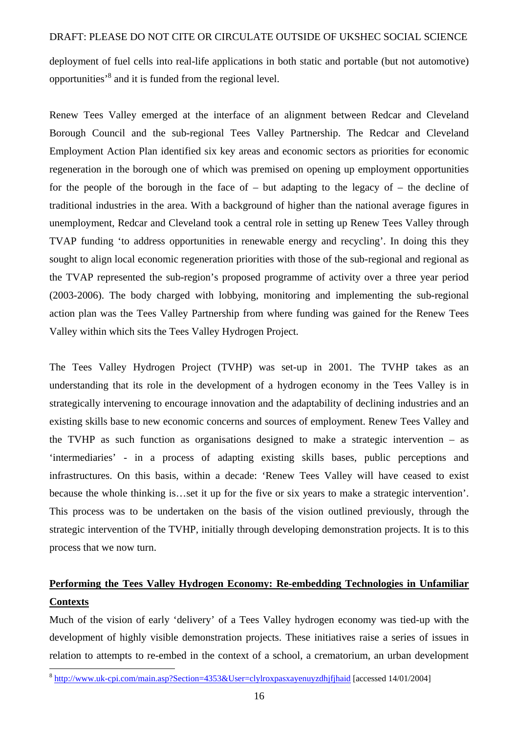deployment of fuel cells into real-life applications in both static and portable (but not automotive) opportunities<sup>,8</sup> and it is funded from the regional level.

Renew Tees Valley emerged at the interface of an alignment between Redcar and Cleveland Borough Council and the sub-regional Tees Valley Partnership. The Redcar and Cleveland Employment Action Plan identified six key areas and economic sectors as priorities for economic regeneration in the borough one of which was premised on opening up employment opportunities for the people of the borough in the face of  $-$  but adapting to the legacy of  $-$  the decline of traditional industries in the area. With a background of higher than the national average figures in unemployment, Redcar and Cleveland took a central role in setting up Renew Tees Valley through TVAP funding 'to address opportunities in renewable energy and recycling'. In doing this they sought to align local economic regeneration priorities with those of the sub-regional and regional as the TVAP represented the sub-region's proposed programme of activity over a three year period (2003-2006). The body charged with lobbying, monitoring and implementing the sub-regional action plan was the Tees Valley Partnership from where funding was gained for the Renew Tees Valley within which sits the Tees Valley Hydrogen Project.

The Tees Valley Hydrogen Project (TVHP) was set-up in 2001. The TVHP takes as an understanding that its role in the development of a hydrogen economy in the Tees Valley is in strategically intervening to encourage innovation and the adaptability of declining industries and an existing skills base to new economic concerns and sources of employment. Renew Tees Valley and the TVHP as such function as organisations designed to make a strategic intervention – as 'intermediaries' - in a process of adapting existing skills bases, public perceptions and infrastructures. On this basis, within a decade: 'Renew Tees Valley will have ceased to exist because the whole thinking is…set it up for the five or six years to make a strategic intervention'. This process was to be undertaken on the basis of the vision outlined previously, through the strategic intervention of the TVHP, initially through developing demonstration projects. It is to this process that we now turn.

### **Performing the Tees Valley Hydrogen Economy: Re-embedding Technologies in Unfamiliar Contexts**

Much of the vision of early 'delivery' of a Tees Valley hydrogen economy was tied-up with the development of highly visible demonstration projects. These initiatives raise a series of issues in relation to attempts to re-embed in the context of a school, a crematorium, an urban development

<sup>&</sup>lt;sup>8</sup> http://www.uk-cpi.com/main.asp?Section=4353&User=clylroxpasxayenuyzdhjfjhaid [accessed 14/01/2004]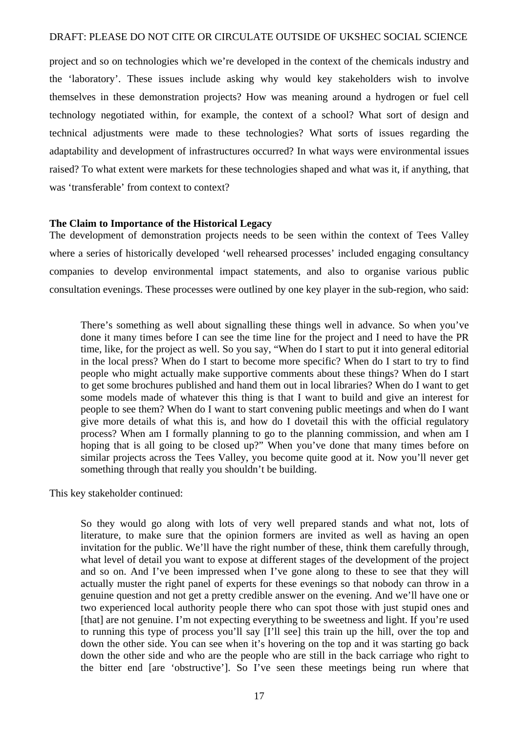project and so on technologies which we're developed in the context of the chemicals industry and the 'laboratory'. These issues include asking why would key stakeholders wish to involve themselves in these demonstration projects? How was meaning around a hydrogen or fuel cell technology negotiated within, for example, the context of a school? What sort of design and technical adjustments were made to these technologies? What sorts of issues regarding the adaptability and development of infrastructures occurred? In what ways were environmental issues raised? To what extent were markets for these technologies shaped and what was it, if anything, that was 'transferable' from context to context?

#### **The Claim to Importance of the Historical Legacy**

The development of demonstration projects needs to be seen within the context of Tees Valley where a series of historically developed 'well rehearsed processes' included engaging consultancy companies to develop environmental impact statements, and also to organise various public consultation evenings. These processes were outlined by one key player in the sub-region, who said:

There's something as well about signalling these things well in advance. So when you've done it many times before I can see the time line for the project and I need to have the PR time, like, for the project as well. So you say, "When do I start to put it into general editorial in the local press? When do I start to become more specific? When do I start to try to find people who might actually make supportive comments about these things? When do I start to get some brochures published and hand them out in local libraries? When do I want to get some models made of whatever this thing is that I want to build and give an interest for people to see them? When do I want to start convening public meetings and when do I want give more details of what this is, and how do I dovetail this with the official regulatory process? When am I formally planning to go to the planning commission, and when am I hoping that is all going to be closed up?" When you've done that many times before on similar projects across the Tees Valley, you become quite good at it. Now you'll never get something through that really you shouldn't be building.

This key stakeholder continued:

So they would go along with lots of very well prepared stands and what not, lots of literature, to make sure that the opinion formers are invited as well as having an open invitation for the public. We'll have the right number of these, think them carefully through, what level of detail you want to expose at different stages of the development of the project and so on. And I've been impressed when I've gone along to these to see that they will actually muster the right panel of experts for these evenings so that nobody can throw in a genuine question and not get a pretty credible answer on the evening. And we'll have one or two experienced local authority people there who can spot those with just stupid ones and [that] are not genuine. I'm not expecting everything to be sweetness and light. If you're used to running this type of process you'll say [I'll see] this train up the hill, over the top and down the other side. You can see when it's hovering on the top and it was starting go back down the other side and who are the people who are still in the back carriage who right to the bitter end [are 'obstructive']. So I've seen these meetings being run where that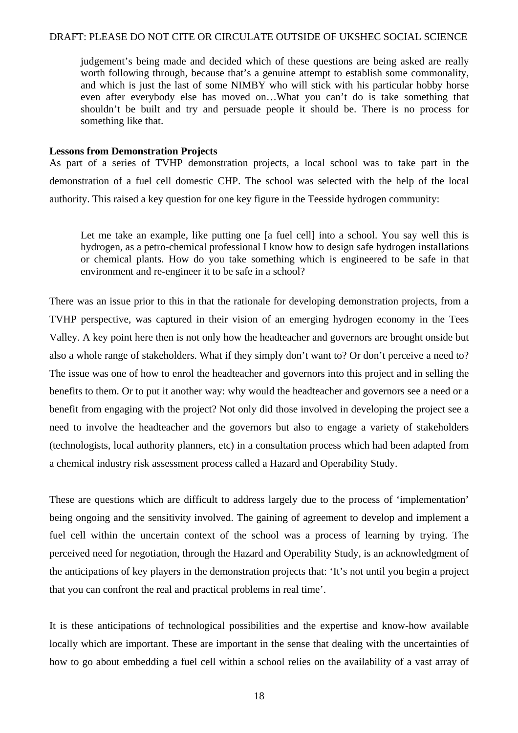judgement's being made and decided which of these questions are being asked are really worth following through, because that's a genuine attempt to establish some commonality, and which is just the last of some NIMBY who will stick with his particular hobby horse even after everybody else has moved on…What you can't do is take something that shouldn't be built and try and persuade people it should be. There is no process for something like that.

#### **Lessons from Demonstration Projects**

As part of a series of TVHP demonstration projects, a local school was to take part in the demonstration of a fuel cell domestic CHP. The school was selected with the help of the local authority. This raised a key question for one key figure in the Teesside hydrogen community:

Let me take an example, like putting one [a fuel cell] into a school. You say well this is hydrogen, as a petro-chemical professional I know how to design safe hydrogen installations or chemical plants. How do you take something which is engineered to be safe in that environment and re-engineer it to be safe in a school?

There was an issue prior to this in that the rationale for developing demonstration projects, from a TVHP perspective, was captured in their vision of an emerging hydrogen economy in the Tees Valley. A key point here then is not only how the headteacher and governors are brought onside but also a whole range of stakeholders. What if they simply don't want to? Or don't perceive a need to? The issue was one of how to enrol the headteacher and governors into this project and in selling the benefits to them. Or to put it another way: why would the headteacher and governors see a need or a benefit from engaging with the project? Not only did those involved in developing the project see a need to involve the headteacher and the governors but also to engage a variety of stakeholders (technologists, local authority planners, etc) in a consultation process which had been adapted from a chemical industry risk assessment process called a Hazard and Operability Study.

These are questions which are difficult to address largely due to the process of 'implementation' being ongoing and the sensitivity involved. The gaining of agreement to develop and implement a fuel cell within the uncertain context of the school was a process of learning by trying. The perceived need for negotiation, through the Hazard and Operability Study, is an acknowledgment of the anticipations of key players in the demonstration projects that: 'It's not until you begin a project that you can confront the real and practical problems in real time'.

It is these anticipations of technological possibilities and the expertise and know-how available locally which are important. These are important in the sense that dealing with the uncertainties of how to go about embedding a fuel cell within a school relies on the availability of a vast array of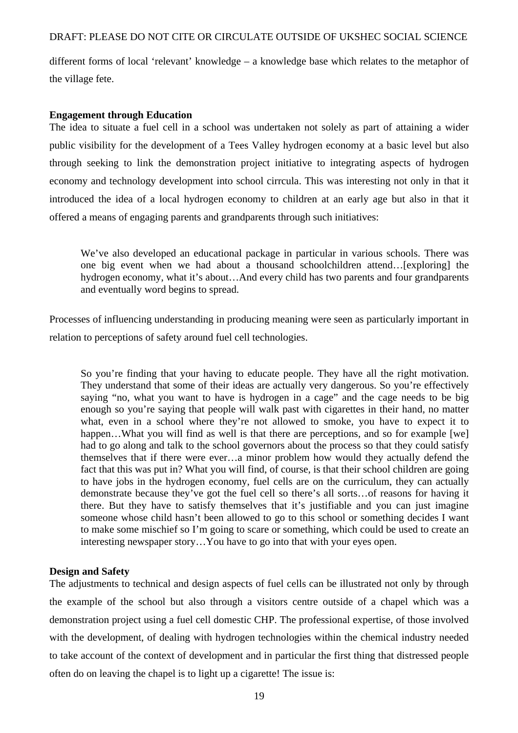different forms of local 'relevant' knowledge – a knowledge base which relates to the metaphor of the village fete.

#### **Engagement through Education**

The idea to situate a fuel cell in a school was undertaken not solely as part of attaining a wider public visibility for the development of a Tees Valley hydrogen economy at a basic level but also through seeking to link the demonstration project initiative to integrating aspects of hydrogen economy and technology development into school cirrcula. This was interesting not only in that it introduced the idea of a local hydrogen economy to children at an early age but also in that it offered a means of engaging parents and grandparents through such initiatives:

We've also developed an educational package in particular in various schools. There was one big event when we had about a thousand schoolchildren attend…[exploring] the hydrogen economy, what it's about…And every child has two parents and four grandparents and eventually word begins to spread.

Processes of influencing understanding in producing meaning were seen as particularly important in relation to perceptions of safety around fuel cell technologies.

So you're finding that your having to educate people. They have all the right motivation. They understand that some of their ideas are actually very dangerous. So you're effectively saying "no, what you want to have is hydrogen in a cage" and the cage needs to be big enough so you're saying that people will walk past with cigarettes in their hand, no matter what, even in a school where they're not allowed to smoke, you have to expect it to happen...What you will find as well is that there are perceptions, and so for example [we] had to go along and talk to the school governors about the process so that they could satisfy themselves that if there were ever…a minor problem how would they actually defend the fact that this was put in? What you will find, of course, is that their school children are going to have jobs in the hydrogen economy, fuel cells are on the curriculum, they can actually demonstrate because they've got the fuel cell so there's all sorts…of reasons for having it there. But they have to satisfy themselves that it's justifiable and you can just imagine someone whose child hasn't been allowed to go to this school or something decides I want to make some mischief so I'm going to scare or something, which could be used to create an interesting newspaper story…You have to go into that with your eyes open.

#### **Design and Safety**

The adjustments to technical and design aspects of fuel cells can be illustrated not only by through the example of the school but also through a visitors centre outside of a chapel which was a demonstration project using a fuel cell domestic CHP. The professional expertise, of those involved with the development, of dealing with hydrogen technologies within the chemical industry needed to take account of the context of development and in particular the first thing that distressed people often do on leaving the chapel is to light up a cigarette! The issue is: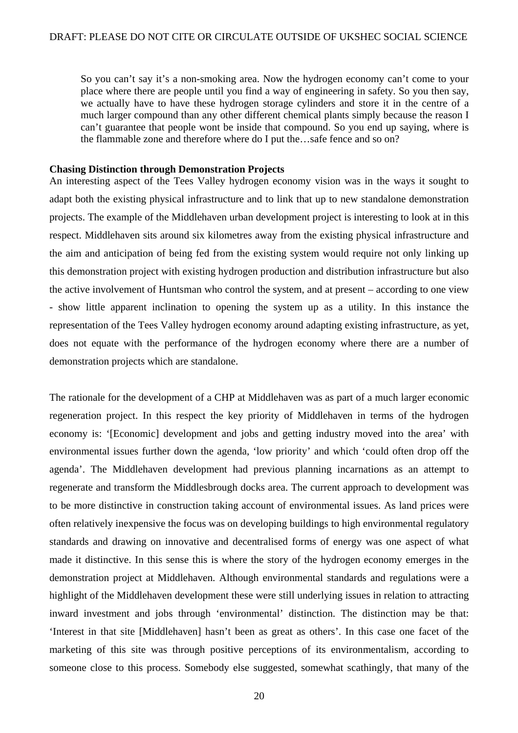So you can't say it's a non-smoking area. Now the hydrogen economy can't come to your place where there are people until you find a way of engineering in safety. So you then say, we actually have to have these hydrogen storage cylinders and store it in the centre of a much larger compound than any other different chemical plants simply because the reason I can't guarantee that people wont be inside that compound. So you end up saying, where is the flammable zone and therefore where do I put the…safe fence and so on?

#### **Chasing Distinction through Demonstration Projects**

An interesting aspect of the Tees Valley hydrogen economy vision was in the ways it sought to adapt both the existing physical infrastructure and to link that up to new standalone demonstration projects. The example of the Middlehaven urban development project is interesting to look at in this respect. Middlehaven sits around six kilometres away from the existing physical infrastructure and the aim and anticipation of being fed from the existing system would require not only linking up this demonstration project with existing hydrogen production and distribution infrastructure but also the active involvement of Huntsman who control the system, and at present – according to one view - show little apparent inclination to opening the system up as a utility. In this instance the representation of the Tees Valley hydrogen economy around adapting existing infrastructure, as yet, does not equate with the performance of the hydrogen economy where there are a number of demonstration projects which are standalone.

The rationale for the development of a CHP at Middlehaven was as part of a much larger economic regeneration project. In this respect the key priority of Middlehaven in terms of the hydrogen economy is: '[Economic] development and jobs and getting industry moved into the area' with environmental issues further down the agenda, 'low priority' and which 'could often drop off the agenda'. The Middlehaven development had previous planning incarnations as an attempt to regenerate and transform the Middlesbrough docks area. The current approach to development was to be more distinctive in construction taking account of environmental issues. As land prices were often relatively inexpensive the focus was on developing buildings to high environmental regulatory standards and drawing on innovative and decentralised forms of energy was one aspect of what made it distinctive. In this sense this is where the story of the hydrogen economy emerges in the demonstration project at Middlehaven. Although environmental standards and regulations were a highlight of the Middlehaven development these were still underlying issues in relation to attracting inward investment and jobs through 'environmental' distinction. The distinction may be that: 'Interest in that site [Middlehaven] hasn't been as great as others'. In this case one facet of the marketing of this site was through positive perceptions of its environmentalism, according to someone close to this process. Somebody else suggested, somewhat scathingly, that many of the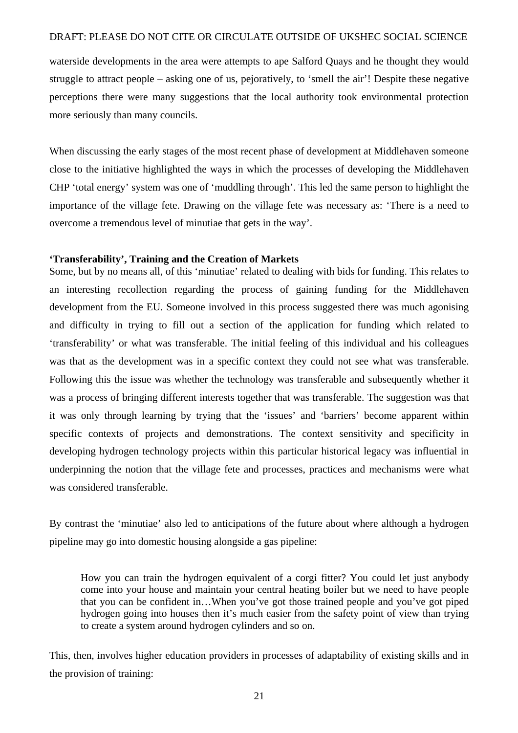waterside developments in the area were attempts to ape Salford Quays and he thought they would struggle to attract people – asking one of us, pejoratively, to 'smell the air'! Despite these negative perceptions there were many suggestions that the local authority took environmental protection more seriously than many councils.

When discussing the early stages of the most recent phase of development at Middlehaven someone close to the initiative highlighted the ways in which the processes of developing the Middlehaven CHP 'total energy' system was one of 'muddling through'. This led the same person to highlight the importance of the village fete. Drawing on the village fete was necessary as: 'There is a need to overcome a tremendous level of minutiae that gets in the way'.

#### **'Transferability', Training and the Creation of Markets**

Some, but by no means all, of this 'minutiae' related to dealing with bids for funding. This relates to an interesting recollection regarding the process of gaining funding for the Middlehaven development from the EU. Someone involved in this process suggested there was much agonising and difficulty in trying to fill out a section of the application for funding which related to 'transferability' or what was transferable. The initial feeling of this individual and his colleagues was that as the development was in a specific context they could not see what was transferable. Following this the issue was whether the technology was transferable and subsequently whether it was a process of bringing different interests together that was transferable. The suggestion was that it was only through learning by trying that the 'issues' and 'barriers' become apparent within specific contexts of projects and demonstrations. The context sensitivity and specificity in developing hydrogen technology projects within this particular historical legacy was influential in underpinning the notion that the village fete and processes, practices and mechanisms were what was considered transferable.

By contrast the 'minutiae' also led to anticipations of the future about where although a hydrogen pipeline may go into domestic housing alongside a gas pipeline:

How you can train the hydrogen equivalent of a corgi fitter? You could let just anybody come into your house and maintain your central heating boiler but we need to have people that you can be confident in…When you've got those trained people and you've got piped hydrogen going into houses then it's much easier from the safety point of view than trying to create a system around hydrogen cylinders and so on.

This, then, involves higher education providers in processes of adaptability of existing skills and in the provision of training: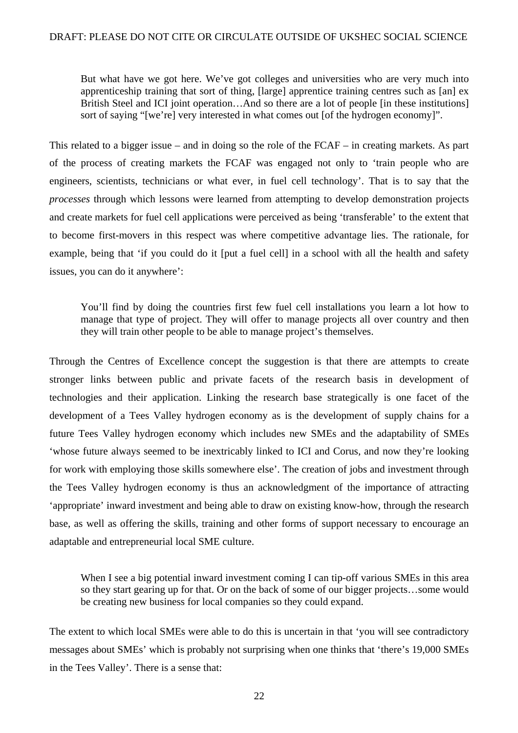But what have we got here. We've got colleges and universities who are very much into apprenticeship training that sort of thing, [large] apprentice training centres such as [an] ex British Steel and ICI joint operation...And so there are a lot of people [in these institutions] sort of saying "[we're] very interested in what comes out [of the hydrogen economy]".

This related to a bigger issue – and in doing so the role of the FCAF – in creating markets. As part of the process of creating markets the FCAF was engaged not only to 'train people who are engineers, scientists, technicians or what ever, in fuel cell technology'. That is to say that the *processes* through which lessons were learned from attempting to develop demonstration projects and create markets for fuel cell applications were perceived as being 'transferable' to the extent that to become first-movers in this respect was where competitive advantage lies. The rationale, for example, being that 'if you could do it [put a fuel cell] in a school with all the health and safety issues, you can do it anywhere':

You'll find by doing the countries first few fuel cell installations you learn a lot how to manage that type of project. They will offer to manage projects all over country and then they will train other people to be able to manage project's themselves.

Through the Centres of Excellence concept the suggestion is that there are attempts to create stronger links between public and private facets of the research basis in development of technologies and their application. Linking the research base strategically is one facet of the development of a Tees Valley hydrogen economy as is the development of supply chains for a future Tees Valley hydrogen economy which includes new SMEs and the adaptability of SMEs 'whose future always seemed to be inextricably linked to ICI and Corus, and now they're looking for work with employing those skills somewhere else'. The creation of jobs and investment through the Tees Valley hydrogen economy is thus an acknowledgment of the importance of attracting 'appropriate' inward investment and being able to draw on existing know-how, through the research base, as well as offering the skills, training and other forms of support necessary to encourage an adaptable and entrepreneurial local SME culture.

When I see a big potential inward investment coming I can tip-off various SMEs in this area so they start gearing up for that. Or on the back of some of our bigger projects…some would be creating new business for local companies so they could expand.

The extent to which local SMEs were able to do this is uncertain in that 'you will see contradictory messages about SMEs' which is probably not surprising when one thinks that 'there's 19,000 SMEs in the Tees Valley'. There is a sense that: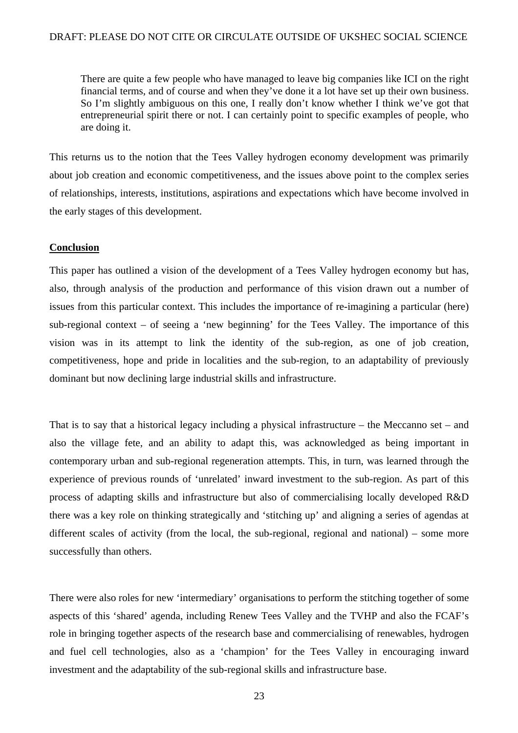There are quite a few people who have managed to leave big companies like ICI on the right financial terms, and of course and when they've done it a lot have set up their own business. So I'm slightly ambiguous on this one, I really don't know whether I think we've got that entrepreneurial spirit there or not. I can certainly point to specific examples of people, who are doing it.

This returns us to the notion that the Tees Valley hydrogen economy development was primarily about job creation and economic competitiveness, and the issues above point to the complex series of relationships, interests, institutions, aspirations and expectations which have become involved in the early stages of this development.

#### **Conclusion**

This paper has outlined a vision of the development of a Tees Valley hydrogen economy but has, also, through analysis of the production and performance of this vision drawn out a number of issues from this particular context. This includes the importance of re-imagining a particular (here) sub-regional context – of seeing a 'new beginning' for the Tees Valley. The importance of this vision was in its attempt to link the identity of the sub-region, as one of job creation, competitiveness, hope and pride in localities and the sub-region, to an adaptability of previously dominant but now declining large industrial skills and infrastructure.

That is to say that a historical legacy including a physical infrastructure – the Meccanno set – and also the village fete, and an ability to adapt this, was acknowledged as being important in contemporary urban and sub-regional regeneration attempts. This, in turn, was learned through the experience of previous rounds of 'unrelated' inward investment to the sub-region. As part of this process of adapting skills and infrastructure but also of commercialising locally developed R&D there was a key role on thinking strategically and 'stitching up' and aligning a series of agendas at different scales of activity (from the local, the sub-regional, regional and national) – some more successfully than others.

There were also roles for new 'intermediary' organisations to perform the stitching together of some aspects of this 'shared' agenda, including Renew Tees Valley and the TVHP and also the FCAF's role in bringing together aspects of the research base and commercialising of renewables, hydrogen and fuel cell technologies, also as a 'champion' for the Tees Valley in encouraging inward investment and the adaptability of the sub-regional skills and infrastructure base.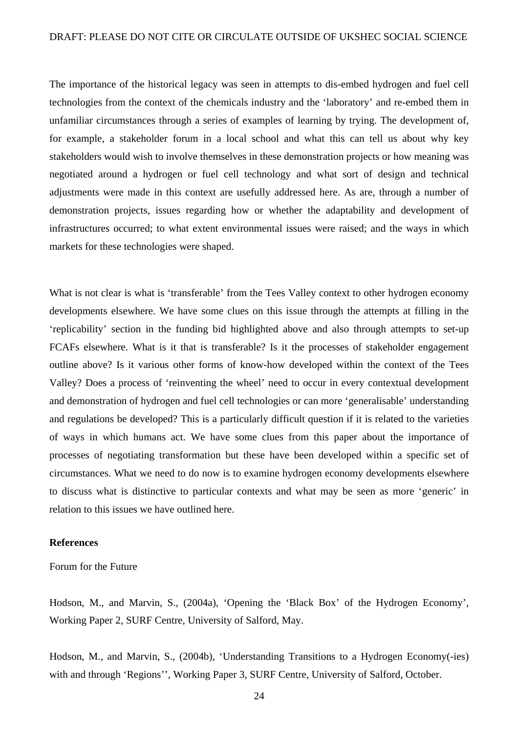The importance of the historical legacy was seen in attempts to dis-embed hydrogen and fuel cell technologies from the context of the chemicals industry and the 'laboratory' and re-embed them in unfamiliar circumstances through a series of examples of learning by trying. The development of, for example, a stakeholder forum in a local school and what this can tell us about why key stakeholders would wish to involve themselves in these demonstration projects or how meaning was negotiated around a hydrogen or fuel cell technology and what sort of design and technical adjustments were made in this context are usefully addressed here. As are, through a number of demonstration projects, issues regarding how or whether the adaptability and development of infrastructures occurred; to what extent environmental issues were raised; and the ways in which markets for these technologies were shaped.

What is not clear is what is 'transferable' from the Tees Valley context to other hydrogen economy developments elsewhere. We have some clues on this issue through the attempts at filling in the 'replicability' section in the funding bid highlighted above and also through attempts to set-up FCAFs elsewhere. What is it that is transferable? Is it the processes of stakeholder engagement outline above? Is it various other forms of know-how developed within the context of the Tees Valley? Does a process of 'reinventing the wheel' need to occur in every contextual development and demonstration of hydrogen and fuel cell technologies or can more 'generalisable' understanding and regulations be developed? This is a particularly difficult question if it is related to the varieties of ways in which humans act. We have some clues from this paper about the importance of processes of negotiating transformation but these have been developed within a specific set of circumstances. What we need to do now is to examine hydrogen economy developments elsewhere to discuss what is distinctive to particular contexts and what may be seen as more 'generic' in relation to this issues we have outlined here.

#### **References**

Forum for the Future

Hodson, M., and Marvin, S., (2004a), 'Opening the 'Black Box' of the Hydrogen Economy', Working Paper 2, SURF Centre, University of Salford, May.

Hodson, M., and Marvin, S., (2004b), 'Understanding Transitions to a Hydrogen Economy(-ies) with and through 'Regions'', Working Paper 3, SURF Centre, University of Salford, October.